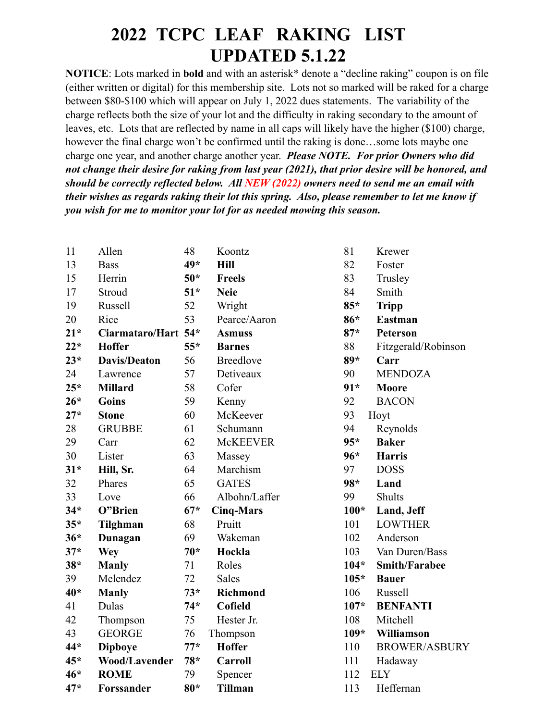## **2022 TCPC LEAF RAKING LIST UPDATED 5.1.22**

**NOTICE**: Lots marked in **bold** and with an asterisk\* denote a "decline raking" coupon is on file (either written or digital) for this membership site. Lots not so marked will be raked for a charge between \$80-\$100 which will appear on July 1, 2022 dues statements. The variability of the charge reflects both the size of your lot and the difficulty in raking secondary to the amount of leaves, etc. Lots that are reflected by name in all caps will likely have the higher (\$100) charge, however the final charge won't be confirmed until the raking is done...some lots maybe one charge one year, and another charge another year. *Please NOTE. For prior Owners who did not change their desire for raking from last year (2021), that prior desire will be honored, and should be correctly reflected below. All NEW (2022) owners need to send me an email with their wishes as regards raking their lot this spring. Also, please remember to let me know if you wish for me to monitor your lot for as needed mowing this season.*

| 11    | Allen                | 48    | Koontz           | 81     | Krewer               |
|-------|----------------------|-------|------------------|--------|----------------------|
| 13    | <b>Bass</b>          | 49*   | <b>Hill</b>      | 82     | Foster               |
| 15    | Herrin               | $50*$ | <b>Freels</b>    | 83     | Trusley              |
| 17    | Stroud               | $51*$ | <b>Neie</b>      | 84     | Smith                |
| 19    | Russell              | 52    | Wright           | $85*$  | <b>Tripp</b>         |
| 20    | Rice                 | 53    | Pearce/Aaron     | 86*    | <b>Eastman</b>       |
| $21*$ | Ciarmataro/Hart 54*  |       | <b>Asmuss</b>    | $87*$  | <b>Peterson</b>      |
| $22*$ | <b>Hoffer</b>        | $55*$ | <b>Barnes</b>    | 88     | Fitzgerald/Robinson  |
| $23*$ | <b>Davis/Deaton</b>  | 56    | <b>Breedlove</b> | $89*$  | Carr                 |
| 24    | Lawrence             | 57    | Detiveaux        | 90     | <b>MENDOZA</b>       |
| $25*$ | <b>Millard</b>       | 58    | Cofer            | $91*$  | Moore                |
| $26*$ | <b>Goins</b>         | 59    | Kenny            | 92     | <b>BACON</b>         |
| $27*$ | <b>Stone</b>         | 60    | McKeever         | 93     | Hoyt                 |
| 28    | <b>GRUBBE</b>        | 61    | Schumann         | 94     | Reynolds             |
| 29    | Carr                 | 62    | <b>McKEEVER</b>  | $95*$  | <b>Baker</b>         |
| 30    | Lister               | 63    | Massey           | $96*$  | <b>Harris</b>        |
| $31*$ | Hill, Sr.            | 64    | Marchism         | 97     | <b>DOSS</b>          |
| 32    | Phares               | 65    | <b>GATES</b>     | 98*    | Land                 |
| 33    | Love                 | 66    | Albohn/Laffer    | 99     | <b>Shults</b>        |
| $34*$ | O"Brien              | $67*$ | <b>Cinq-Mars</b> | $100*$ | Land, Jeff           |
| $35*$ | Tilghman             | 68    | Pruitt           | 101    | <b>LOWTHER</b>       |
| $36*$ | Dunagan              | 69    | Wakeman          | 102    | Anderson             |
| $37*$ | <b>Wey</b>           | $70*$ | Hockla           | 103    | Van Duren/Bass       |
| $38*$ | <b>Manly</b>         | 71    | Roles            | $104*$ | <b>Smith/Farabee</b> |
| 39    | Melendez             | 72    | <b>Sales</b>     | $105*$ | <b>Bauer</b>         |
| 40*   | <b>Manly</b>         | $73*$ | <b>Richmond</b>  | 106    | Russell              |
| 41    | Dulas                | $74*$ | Cofield          | $107*$ | <b>BENFANTI</b>      |
| 42    | Thompson             | 75    | Hester Jr.       | 108    | Mitchell             |
| 43    | <b>GEORGE</b>        | 76    | Thompson         | $109*$ | Williamson           |
| 44*   | <b>Dipboye</b>       | $77*$ | <b>Hoffer</b>    | 110    | <b>BROWER/ASBURY</b> |
| $45*$ | <b>Wood/Lavender</b> | $78*$ | <b>Carroll</b>   | 111    | Hadaway              |
| $46*$ | <b>ROME</b>          | 79    | Spencer          | 112    | <b>ELY</b>           |
| $47*$ | Forssander           | $80*$ | <b>Tillman</b>   | 113    | Heffernan            |